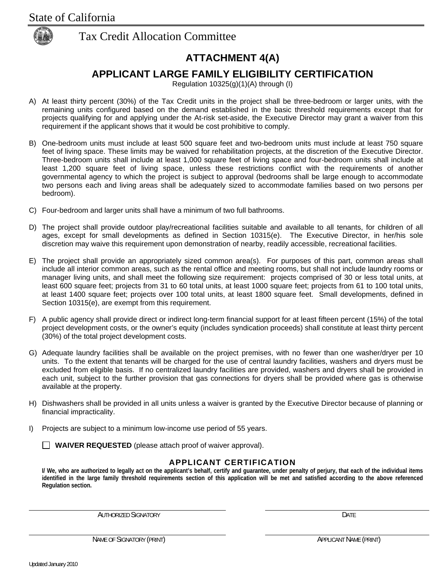

## **ATTACHMENT 4(A)**

## **APPLICANT LARGE FAMILY ELIGIBILITY CERTIFICATION**

Regulation 10325(g)(1)(A) through (I)

- A) At least thirty percent (30%) of the Tax Credit units in the project shall be three-bedroom or larger units, with the remaining units configured based on the demand established in the basic threshold requirements except that for projects qualifying for and applying under the At-risk set-aside, the Executive Director may grant a waiver from this requirement if the applicant shows that it would be cost prohibitive to comply.
- B) One-bedroom units must include at least 500 square feet and two-bedroom units must include at least 750 square feet of living space. These limits may be waived for rehabilitation projects, at the discretion of the Executive Director. Three-bedroom units shall include at least 1,000 square feet of living space and four-bedroom units shall include at least 1,200 square feet of living space, unless these restrictions conflict with the requirements of another governmental agency to which the project is subject to approval (bedrooms shall be large enough to accommodate two persons each and living areas shall be adequately sized to accommodate families based on two persons per bedroom).
- C) Four-bedroom and larger units shall have a minimum of two full bathrooms.
- D) The project shall provide outdoor play/recreational facilities suitable and available to all tenants, for children of all ages, except for small developments as defined in Section 10315(e). The Executive Director, in her/his sole discretion may waive this requirement upon demonstration of nearby, readily accessible, recreational facilities.
- E) The project shall provide an appropriately sized common area(s). For purposes of this part, common areas shall include all interior common areas, such as the rental office and meeting rooms, but shall not include laundry rooms or manager living units, and shall meet the following size requirement: projects comprised of 30 or less total units, at least 600 square feet; projects from 31 to 60 total units, at least 1000 square feet; projects from 61 to 100 total units, at least 1400 square feet; projects over 100 total units, at least 1800 square feet. Small developments, defined in Section 10315(e), are exempt from this requirement.
- F) A public agency shall provide direct or indirect long-term financial support for at least fifteen percent (15%) of the total project development costs, or the owner's equity (includes syndication proceeds) shall constitute at least thirty percent (30%) of the total project development costs.
- G) Adequate laundry facilities shall be available on the project premises, with no fewer than one washer/dryer per 10 units. To the extent that tenants will be charged for the use of central laundry facilities, washers and dryers must be excluded from eligible basis. If no centralized laundry facilities are provided, washers and dryers shall be provided in each unit, subject to the further provision that gas connections for dryers shall be provided where gas is otherwise available at the property.
- H) Dishwashers shall be provided in all units unless a waiver is granted by the Executive Director because of planning or financial impracticality.
- I) Projects are subject to a minimum low-income use period of 55 years.

**WAIVER REQUESTED** (please attach proof of waiver approval).

#### **APPLICANT CERTIFICATION**

**I/ We, who are authorized to legally act on the applicant's behalf, certify and guarantee, under penalty of perjury, that each of the individual items identified in the large family threshold requirements section of this application will be met and satisfied according to the above referenced Regulation section.** 

AUTHORIZED SIGNATORY **EXECUTE ACCOMPT OF AUTHORIZED SIGNATORY**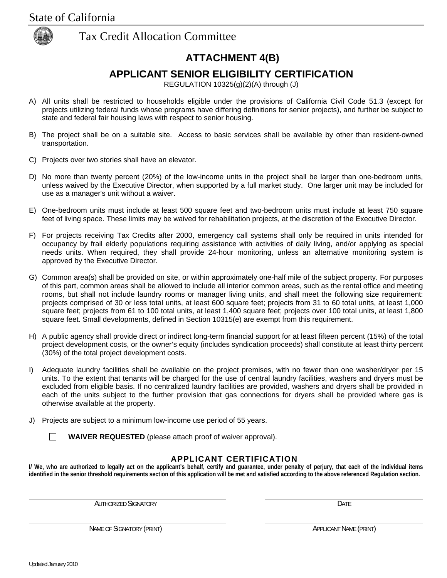

## **ATTACHMENT 4(B)**

## **APPLICANT SENIOR ELIGIBILITY CERTIFICATION**

REGULATION 10325(g)(2)(A) through (J)

- A) All units shall be restricted to households eligible under the provisions of California Civil Code 51.3 (except for projects utilizing federal funds whose programs have differing definitions for senior projects), and further be subject to state and federal fair housing laws with respect to senior housing.
- B) The project shall be on a suitable site. Access to basic services shall be available by other than resident-owned transportation.
- C) Projects over two stories shall have an elevator.
- D) No more than twenty percent (20%) of the low-income units in the project shall be larger than one-bedroom units, unless waived by the Executive Director, when supported by a full market study. One larger unit may be included for use as a manager's unit without a waiver.
- E) One-bedroom units must include at least 500 square feet and two-bedroom units must include at least 750 square feet of living space. These limits may be waived for rehabilitation projects, at the discretion of the Executive Director.
- F) For projects receiving Tax Credits after 2000, emergency call systems shall only be required in units intended for occupancy by frail elderly populations requiring assistance with activities of daily living, and/or applying as special needs units. When required, they shall provide 24-hour monitoring, unless an alternative monitoring system is approved by the Executive Director.
- G) Common area(s) shall be provided on site, or within approximately one-half mile of the subject property. For purposes of this part, common areas shall be allowed to include all interior common areas, such as the rental office and meeting rooms, but shall not include laundry rooms or manager living units, and shall meet the following size requirement: projects comprised of 30 or less total units, at least 600 square feet; projects from 31 to 60 total units, at least 1,000 square feet; projects from 61 to 100 total units, at least 1,400 square feet; projects over 100 total units, at least 1,800 square feet. Small developments, defined in Section 10315(e) are exempt from this requirement.
- H) A public agency shall provide direct or indirect long-term financial support for at least fifteen percent (15%) of the total project development costs, or the owner's equity (includes syndication proceeds) shall constitute at least thirty percent (30%) of the total project development costs.
- I) Adequate laundry facilities shall be available on the project premises, with no fewer than one washer/dryer per 15 units. To the extent that tenants will be charged for the use of central laundry facilities, washers and dryers must be excluded from eligible basis. If no centralized laundry facilities are provided, washers and dryers shall be provided in each of the units subject to the further provision that gas connections for dryers shall be provided where gas is otherwise available at the property.
- J) Projects are subject to a minimum low-income use period of 55 years.



#### **APPLICANT CERTIFICATION**

**I/ We, who are authorized to legally act on the applicant's behalf, certify and guarantee, under penalty of perjury, that each of the individual items identified in the senior threshold requirements section of this application will be met and satisfied according to the above referenced Regulation section.** 

AUTHORIZED SIGNATORY **DATE**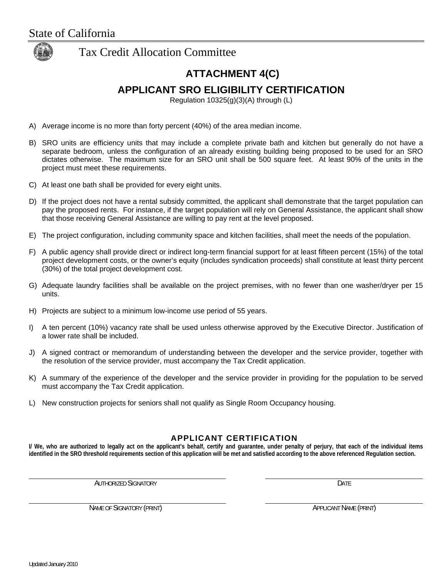

## **ATTACHMENT 4(C)**

### **APPLICANT SRO ELIGIBILITY CERTIFICATION**

Regulation 10325(g)(3)(A) through (L)

- A) Average income is no more than forty percent (40%) of the area median income.
- B) SRO units are efficiency units that may include a complete private bath and kitchen but generally do not have a separate bedroom, unless the configuration of an already existing building being proposed to be used for an SRO dictates otherwise. The maximum size for an SRO unit shall be 500 square feet. At least 90% of the units in the project must meet these requirements.
- C) At least one bath shall be provided for every eight units.
- D) If the project does not have a rental subsidy committed, the applicant shall demonstrate that the target population can pay the proposed rents. For instance, if the target population will rely on General Assistance, the applicant shall show that those receiving General Assistance are willing to pay rent at the level proposed.
- E) The project configuration, including community space and kitchen facilities, shall meet the needs of the population.
- F) A public agency shall provide direct or indirect long-term financial support for at least fifteen percent (15%) of the total project development costs, or the owner's equity (includes syndication proceeds) shall constitute at least thirty percent (30%) of the total project development cost.
- G) Adequate laundry facilities shall be available on the project premises, with no fewer than one washer/dryer per 15 units.
- H) Projects are subject to a minimum low-income use period of 55 years.
- I) A ten percent (10%) vacancy rate shall be used unless otherwise approved by the Executive Director. Justification of a lower rate shall be included.
- J) A signed contract or memorandum of understanding between the developer and the service provider, together with the resolution of the service provider, must accompany the Tax Credit application.
- K) A summary of the experience of the developer and the service provider in providing for the population to be served must accompany the Tax Credit application.
- L) New construction projects for seniors shall not qualify as Single Room Occupancy housing.

#### **APPLICANT CERTIFICATION**

**I/ We, who are authorized to legally act on the applicant's behalf, certify and guarantee, under penalty of perjury, that each of the individual items identified in the SRO threshold requirements section of this application will be met and satisfied according to the above referenced Regulation section.** 

AUTHORIZED SIGNATORY **DATE**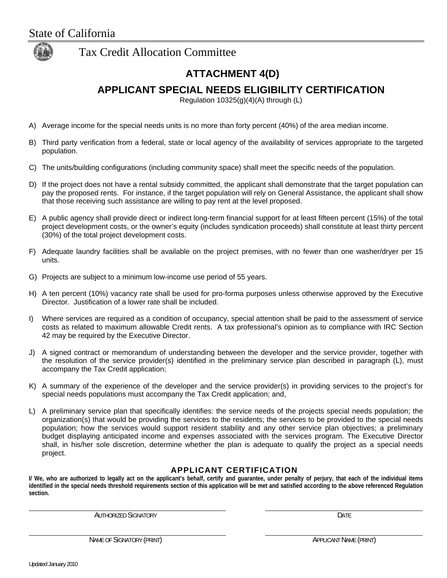

# **ATTACHMENT 4(D)**

**APPLICANT SPECIAL NEEDS ELIGIBILITY CERTIFICATION** 

Regulation 10325(g)(4)(A) through (L)

- A) Average income for the special needs units is no more than forty percent (40%) of the area median income.
- B) Third party verification from a federal, state or local agency of the availability of services appropriate to the targeted population.
- C) The units/building configurations (including community space) shall meet the specific needs of the population.
- D) If the project does not have a rental subsidy committed, the applicant shall demonstrate that the target population can pay the proposed rents. For instance, if the target population will rely on General Assistance, the applicant shall show that those receiving such assistance are willing to pay rent at the level proposed.
- E) A public agency shall provide direct or indirect long-term financial support for at least fifteen percent (15%) of the total project development costs, or the owner's equity (includes syndication proceeds) shall constitute at least thirty percent (30%) of the total project development costs.
- F) Adequate laundry facilities shall be available on the project premises, with no fewer than one washer/dryer per 15 units.
- G) Projects are subject to a minimum low-income use period of 55 years.
- H) A ten percent (10%) vacancy rate shall be used for pro-forma purposes unless otherwise approved by the Executive Director. Justification of a lower rate shall be included.
- I) Where services are required as a condition of occupancy, special attention shall be paid to the assessment of service costs as related to maximum allowable Credit rents. A tax professional's opinion as to compliance with IRC Section 42 may be required by the Executive Director.
- J) A signed contract or memorandum of understanding between the developer and the service provider, together with the resolution of the service provider(s) identified in the preliminary service plan described in paragraph (L), must accompany the Tax Credit application;
- K) A summary of the experience of the developer and the service provider(s) in providing services to the project's for special needs populations must accompany the Tax Credit application; and,
- L) A preliminary service plan that specifically identifies: the service needs of the projects special needs population; the organization(s) that would be providing the services to the residents; the services to be provided to the special needs population; how the services would support resident stability and any other service plan objectives; a preliminary budget displaying anticipated income and expenses associated with the services program. The Executive Director shall, in his/her sole discretion, determine whether the plan is adequate to qualify the project as a special needs project.

#### **APPLICANT CERTIFICATION**

**I/ We, who are authorized to legally act on the applicant's behalf, certify and guarantee, under penalty of perjury, that each of the individual items identified in the special needs threshold requirements section of this application will be met and satisfied according to the above referenced Regulation section.** 

AUTHORIZED SIGNATORY **DATE**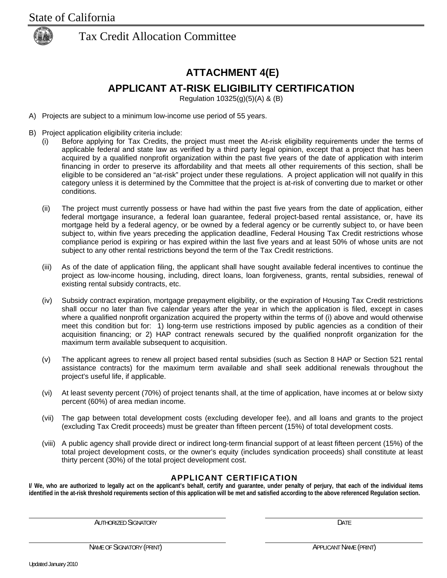

# **ATTACHMENT 4(E)**

### **APPLICANT AT-RISK ELIGIBILITY CERTIFICATION**

Regulation 10325(g)(5)(A) & (B)

- A) Projects are subject to a minimum low-income use period of 55 years.
- B) Project application eligibility criteria include:
	- (i) Before applying for Tax Credits, the project must meet the At-risk eligibility requirements under the terms of applicable federal and state law as verified by a third party legal opinion, except that a project that has been acquired by a qualified nonprofit organization within the past five years of the date of application with interim financing in order to preserve its affordability and that meets all other requirements of this section, shall be eligible to be considered an "at-risk" project under these regulations. A project application will not qualify in this category unless it is determined by the Committee that the project is at-risk of converting due to market or other conditions.
	- (ii) The project must currently possess or have had within the past five years from the date of application, either federal mortgage insurance, a federal loan guarantee, federal project-based rental assistance, or, have its mortgage held by a federal agency, or be owned by a federal agency or be currently subject to, or have been subject to, within five years preceding the application deadline, Federal Housing Tax Credit restrictions whose compliance period is expiring or has expired within the last five years and at least 50% of whose units are not subject to any other rental restrictions beyond the term of the Tax Credit restrictions.
	- (iii) As of the date of application filing, the applicant shall have sought available federal incentives to continue the project as low-income housing, including, direct loans, loan forgiveness, grants, rental subsidies, renewal of existing rental subsidy contracts, etc.
	- (iv) Subsidy contract expiration, mortgage prepayment eligibility, or the expiration of Housing Tax Credit restrictions shall occur no later than five calendar years after the year in which the application is filed, except in cases where a qualified nonprofit organization acquired the property within the terms of (i) above and would otherwise meet this condition but for: 1) long-term use restrictions imposed by public agencies as a condition of their acquisition financing; or 2) HAP contract renewals secured by the qualified nonprofit organization for the maximum term available subsequent to acquisition.
	- (v) The applicant agrees to renew all project based rental subsidies (such as Section 8 HAP or Section 521 rental assistance contracts) for the maximum term available and shall seek additional renewals throughout the project's useful life, if applicable.
	- (vi) At least seventy percent (70%) of project tenants shall, at the time of application, have incomes at or below sixty percent (60%) of area median income.
	- (vii) The gap between total development costs (excluding developer fee), and all loans and grants to the project (excluding Tax Credit proceeds) must be greater than fifteen percent (15%) of total development costs.
	- (viii) A public agency shall provide direct or indirect long-term financial support of at least fifteen percent (15%) of the total project development costs, or the owner's equity (includes syndication proceeds) shall constitute at least thirty percent (30%) of the total project development cost.

### **APPLICANT CERTIFICATION**

**I/ We, who are authorized to legally act on the applicant's behalf, certify and guarantee, under penalty of perjury, that each of the individual items identified in the at-risk threshold requirements section of this application will be met and satisfied according to the above referenced Regulation section.** 

AUTHORIZED SIGNATORY **DATE** 

NAME OF SIGNATORY (PRINT) SALLO APPLICANT NAME (PRINT)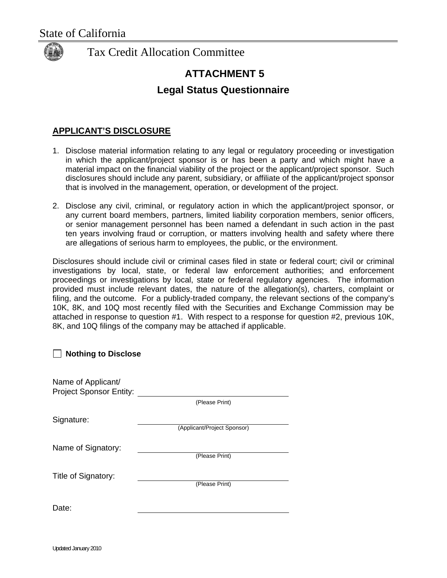

# **ATTACHMENT 5**

### **Legal Status Questionnaire**

### **APPLICANT'S DISCLOSURE**

- 1. Disclose material information relating to any legal or regulatory proceeding or investigation in which the applicant/project sponsor is or has been a party and which might have a material impact on the financial viability of the project or the applicant/project sponsor. Such disclosures should include any parent, subsidiary, or affiliate of the applicant/project sponsor that is involved in the management, operation, or development of the project.
- 2. Disclose any civil, criminal, or regulatory action in which the applicant/project sponsor, or any current board members, partners, limited liability corporation members, senior officers, or senior management personnel has been named a defendant in such action in the past ten years involving fraud or corruption, or matters involving health and safety where there are allegations of serious harm to employees, the public, or the environment.

Disclosures should include civil or criminal cases filed in state or federal court; civil or criminal investigations by local, state, or federal law enforcement authorities; and enforcement proceedings or investigations by local, state or federal regulatory agencies. The information provided must include relevant dates, the nature of the allegation(s), charters, complaint or filing, and the outcome. For a publicly-traded company, the relevant sections of the company's 10K, 8K, and 10Q most recently filed with the Securities and Exchange Commission may be attached in response to question #1. With respect to a response for question #2, previous 10K, 8K, and 10Q filings of the company may be attached if applicable.

| <b>Nothing to Disclose</b>                           |                             |  |
|------------------------------------------------------|-----------------------------|--|
| Name of Applicant/<br><b>Project Sponsor Entity:</b> |                             |  |
|                                                      | (Please Print)              |  |
| Signature:                                           |                             |  |
|                                                      | (Applicant/Project Sponsor) |  |
| Name of Signatory:                                   |                             |  |
|                                                      | (Please Print)              |  |
| Title of Signatory:                                  |                             |  |
|                                                      | (Please Print)              |  |
| Date:                                                |                             |  |
|                                                      |                             |  |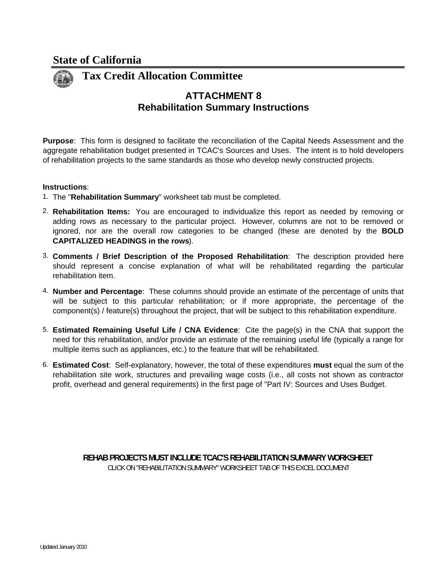

### **Rehabilitation Summary Instructions ATTACHMENT 8**

**Purpose**: This form is designed to facilitate the reconciliation of the Capital Needs Assessment and the aggregate rehabilitation budget presented in TCAC's Sources and Uses. The intent is to hold developers of rehabilitation projects to the same standards as those who develop newly constructed projects.

#### **Instructions**:

- 1. The "**Rehabilitation Summary**" worksheet tab must be completed.
- 2. **Rehabilitation Items:** You are encouraged to individualize this report as needed by removing or adding rows as necessary to the particular project. However, columns are not to be removed or ignored, nor are the overall row categories to be changed (these are denoted by the **BOLD CAPITALIZED HEADINGS in the rows**).
- 3. **Comments / Brief Description of the Proposed Rehabilitation**: The description provided here should represent a concise explanation of what will be rehabilitated regarding the particular rehabilitation item.
- 4. **Number and Percentage**: These columns should provide an estimate of the percentage of units that will be subject to this particular rehabilitation; or if more appropriate, the percentage of the component(s) / feature(s) throughout the project, that will be subject to this rehabilitation expenditure.
- 5. **Estimated Remaining Useful Life / CNA Evidence**: Cite the page(s) in the CNA that support the need for this rehabilitation, and/or provide an estimate of the remaining useful life (typically a range for multiple items such as appliances, etc.) to the feature that will be rehabilitated.
- 6. **Estimated Cost**: Self-explanatory, however, the total of these expenditures **must** equal the sum of the rehabilitation site work, structures and prevailing wage costs (i.e., all costs not shown as contractor profit, overhead and general requirements) in the first page of "Part IV: Sources and Uses Budget.

**REHAB PROJECTS MUST INCLUDE TCAC'S REHABILITATION SUMMARY WORKSHEET** CLICK ON "REHABILITATION SUMMARY" WORKSHEET TAB OF THIS EXCEL DOCUMENT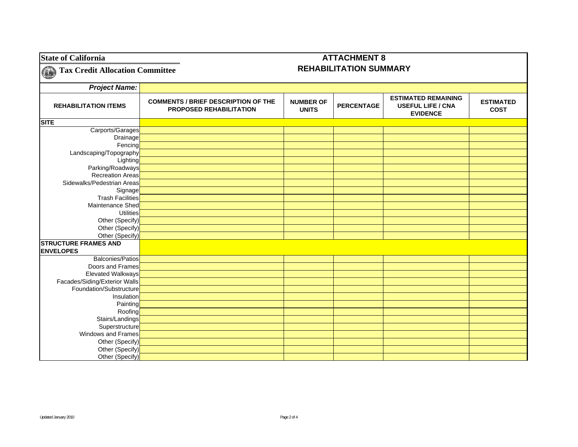| <b>State of California</b>             |                                                                       |                                  | <b>ATTACHMENT 8</b>           |                                                                           |                                 |
|----------------------------------------|-----------------------------------------------------------------------|----------------------------------|-------------------------------|---------------------------------------------------------------------------|---------------------------------|
| <b>Tax Credit Allocation Committee</b> |                                                                       |                                  | <b>REHABILITATION SUMMARY</b> |                                                                           |                                 |
| <b>Project Name:</b>                   |                                                                       |                                  |                               |                                                                           |                                 |
| <b>REHABILITATION ITEMS</b>            | <b>COMMENTS / BRIEF DESCRIPTION OF THE</b><br>PROPOSED REHABILITATION | <b>NUMBER OF</b><br><b>UNITS</b> | <b>PERCENTAGE</b>             | <b>ESTIMATED REMAINING</b><br><b>USEFUL LIFE / CNA</b><br><b>EVIDENCE</b> | <b>ESTIMATED</b><br><b>COST</b> |
| <b>SITE</b>                            |                                                                       |                                  |                               |                                                                           |                                 |
| Carports/Garages                       |                                                                       |                                  |                               |                                                                           |                                 |
| Drainage                               |                                                                       |                                  |                               |                                                                           |                                 |
| Fencing                                |                                                                       |                                  |                               |                                                                           |                                 |
| Landscaping/Topography                 |                                                                       |                                  |                               |                                                                           |                                 |
| Lighting                               |                                                                       |                                  |                               |                                                                           |                                 |
| Parking/Roadways                       |                                                                       |                                  |                               |                                                                           |                                 |
| <b>Recreation Areas</b>                |                                                                       |                                  |                               |                                                                           |                                 |
| Sidewalks/Pedestrian Areas             |                                                                       |                                  |                               |                                                                           |                                 |
| Signage                                |                                                                       |                                  |                               |                                                                           |                                 |
| <b>Trash Facilities</b>                |                                                                       |                                  |                               |                                                                           |                                 |
| Maintenance Shed                       |                                                                       |                                  |                               |                                                                           |                                 |
| Utilities                              |                                                                       |                                  |                               |                                                                           |                                 |
| Other (Specify)                        |                                                                       |                                  |                               |                                                                           |                                 |
| Other (Specify)                        |                                                                       |                                  |                               |                                                                           |                                 |
| Other (Specify)                        |                                                                       |                                  |                               |                                                                           |                                 |
| <b>STRUCTURE FRAMES AND</b>            |                                                                       |                                  |                               |                                                                           |                                 |
| <b>ENVELOPES</b>                       |                                                                       |                                  |                               |                                                                           |                                 |
| <b>Balconies/Patios</b>                |                                                                       |                                  |                               |                                                                           |                                 |
| Doors and Frames                       |                                                                       |                                  |                               |                                                                           |                                 |
| <b>Elevated Walkways</b>               |                                                                       |                                  |                               |                                                                           |                                 |
| Facades/Siding/Exterior Walls          |                                                                       |                                  |                               |                                                                           |                                 |
| Foundation/Substructure                |                                                                       |                                  |                               |                                                                           |                                 |
| Insulation                             |                                                                       |                                  |                               |                                                                           |                                 |
| Painting                               |                                                                       |                                  |                               |                                                                           |                                 |
| Roofing                                |                                                                       |                                  |                               |                                                                           |                                 |
| Stairs/Landings                        |                                                                       |                                  |                               |                                                                           |                                 |
| Superstructure                         |                                                                       |                                  |                               |                                                                           |                                 |
| Windows and Frames                     |                                                                       |                                  |                               |                                                                           |                                 |
| Other (Specify)                        |                                                                       |                                  |                               |                                                                           |                                 |
| Other (Specify)                        |                                                                       |                                  |                               |                                                                           |                                 |
| Other (Specify)                        |                                                                       |                                  |                               |                                                                           |                                 |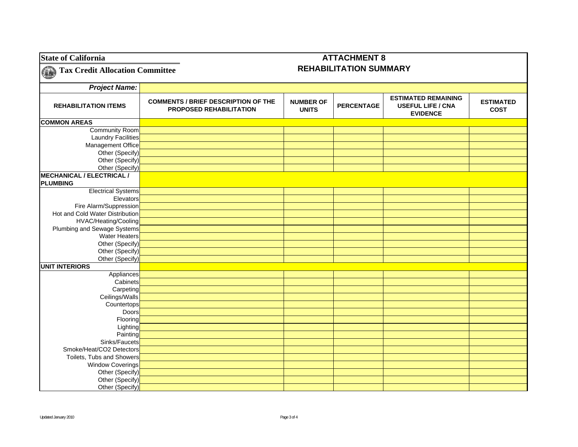| <b>State of California</b>             |                                                                       |                                  | <b>ATTACHMENT 8</b>           |                                                                           |                                 |
|----------------------------------------|-----------------------------------------------------------------------|----------------------------------|-------------------------------|---------------------------------------------------------------------------|---------------------------------|
| <b>Tax Credit Allocation Committee</b> |                                                                       |                                  | <b>REHABILITATION SUMMARY</b> |                                                                           |                                 |
| <b>Project Name:</b>                   |                                                                       |                                  |                               |                                                                           |                                 |
| <b>REHABILITATION ITEMS</b>            | <b>COMMENTS / BRIEF DESCRIPTION OF THE</b><br>PROPOSED REHABILITATION | <b>NUMBER OF</b><br><b>UNITS</b> | <b>PERCENTAGE</b>             | <b>ESTIMATED REMAINING</b><br><b>USEFUL LIFE / CNA</b><br><b>EVIDENCE</b> | <b>ESTIMATED</b><br><b>COST</b> |
| <b>COMMON AREAS</b>                    |                                                                       |                                  |                               |                                                                           |                                 |
| <b>Community Room</b>                  |                                                                       |                                  |                               |                                                                           |                                 |
| <b>Laundry Facilities</b>              |                                                                       |                                  |                               |                                                                           |                                 |
| Management Office                      |                                                                       |                                  |                               |                                                                           |                                 |
| Other (Specify)                        |                                                                       |                                  |                               |                                                                           |                                 |
| Other (Specify)                        |                                                                       |                                  |                               |                                                                           |                                 |
| Other (Specify)                        |                                                                       |                                  |                               |                                                                           |                                 |
| <b>MECHANICAL / ELECTRICAL /</b>       |                                                                       |                                  |                               |                                                                           |                                 |
| <b>PLUMBING</b>                        |                                                                       |                                  |                               |                                                                           |                                 |
| <b>Electrical Systems</b>              |                                                                       |                                  |                               |                                                                           |                                 |
| Elevators                              |                                                                       |                                  |                               |                                                                           |                                 |
| Fire Alarm/Suppression                 |                                                                       |                                  |                               |                                                                           |                                 |
| Hot and Cold Water Distribution        |                                                                       |                                  |                               |                                                                           |                                 |
| HVAC/Heating/Cooling                   |                                                                       |                                  |                               |                                                                           |                                 |
| Plumbing and Sewage Systems            |                                                                       |                                  |                               |                                                                           |                                 |
| Water Heaters                          |                                                                       |                                  |                               |                                                                           |                                 |
| Other (Specify)                        |                                                                       |                                  |                               |                                                                           |                                 |
| Other (Specify)                        |                                                                       |                                  |                               |                                                                           |                                 |
| Other (Specify)                        |                                                                       |                                  |                               |                                                                           |                                 |
| <b>UNIT INTERIORS</b>                  |                                                                       |                                  |                               |                                                                           |                                 |
| Appliances                             |                                                                       |                                  |                               |                                                                           |                                 |
| Cabinets                               |                                                                       |                                  |                               |                                                                           |                                 |
| Carpeting                              |                                                                       |                                  |                               |                                                                           |                                 |
| Ceilings/Walls                         |                                                                       |                                  |                               |                                                                           |                                 |
| Countertops                            |                                                                       |                                  |                               |                                                                           |                                 |
| Doors                                  |                                                                       |                                  |                               |                                                                           |                                 |
| Flooring                               |                                                                       |                                  |                               |                                                                           |                                 |
| Lighting                               |                                                                       |                                  |                               |                                                                           |                                 |
| Painting                               |                                                                       |                                  |                               |                                                                           |                                 |
| Sinks/Faucets                          |                                                                       |                                  |                               |                                                                           |                                 |
| Smoke/Heat/CO2 Detectors               |                                                                       |                                  |                               |                                                                           |                                 |
| Toilets, Tubs and Showers              |                                                                       |                                  |                               |                                                                           |                                 |
| <b>Window Coverings</b>                |                                                                       |                                  |                               |                                                                           |                                 |
| Other (Specify)                        |                                                                       |                                  |                               |                                                                           |                                 |
| Other (Specify)                        |                                                                       |                                  |                               |                                                                           |                                 |
| Other (Specify)                        |                                                                       |                                  |                               |                                                                           |                                 |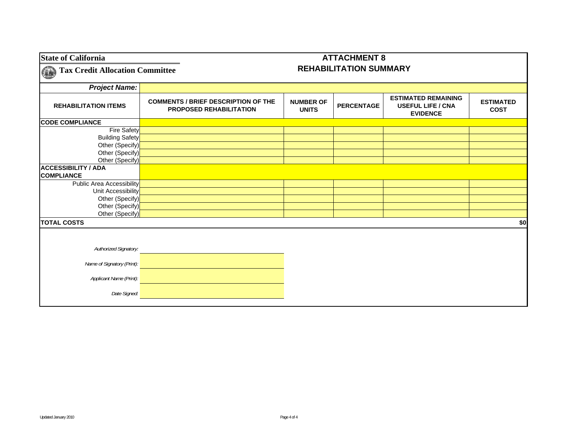| <b>State of California</b>                      |                                                                              |                                  | <b>ATTACHMENT 8</b>           |                                                                           |                                 |
|-------------------------------------------------|------------------------------------------------------------------------------|----------------------------------|-------------------------------|---------------------------------------------------------------------------|---------------------------------|
| <b>Tax Credit Allocation Committee</b>          |                                                                              |                                  | <b>REHABILITATION SUMMARY</b> |                                                                           |                                 |
| <b>Project Name:</b>                            |                                                                              |                                  |                               |                                                                           |                                 |
| <b>REHABILITATION ITEMS</b>                     | <b>COMMENTS / BRIEF DESCRIPTION OF THE</b><br><b>PROPOSED REHABILITATION</b> | <b>NUMBER OF</b><br><b>UNITS</b> | <b>PERCENTAGE</b>             | <b>ESTIMATED REMAINING</b><br><b>USEFUL LIFE / CNA</b><br><b>EVIDENCE</b> | <b>ESTIMATED</b><br><b>COST</b> |
| <b>CODE COMPLIANCE</b>                          |                                                                              |                                  |                               |                                                                           |                                 |
| <b>Fire Safety</b>                              |                                                                              |                                  |                               |                                                                           |                                 |
| <b>Building Safety</b>                          |                                                                              |                                  |                               |                                                                           |                                 |
| Other (Specify)                                 |                                                                              |                                  |                               |                                                                           |                                 |
| Other (Specify)                                 |                                                                              |                                  |                               |                                                                           |                                 |
| Other (Specify)                                 |                                                                              |                                  |                               |                                                                           |                                 |
| <b>ACCESSIBILITY / ADA</b><br><b>COMPLIANCE</b> |                                                                              |                                  |                               |                                                                           |                                 |
| <b>Public Area Accessibility</b>                |                                                                              |                                  |                               |                                                                           |                                 |
| Unit Accessibility                              |                                                                              |                                  |                               |                                                                           |                                 |
| Other (Specify)                                 |                                                                              |                                  |                               |                                                                           |                                 |
| Other (Specify)                                 |                                                                              |                                  |                               |                                                                           |                                 |
| Other (Specify)                                 |                                                                              |                                  |                               |                                                                           |                                 |
| <b>TOTAL COSTS</b>                              |                                                                              |                                  |                               |                                                                           | \$0                             |
|                                                 |                                                                              |                                  |                               |                                                                           |                                 |
| Authorized Signatory:                           |                                                                              |                                  |                               |                                                                           |                                 |
|                                                 |                                                                              |                                  |                               |                                                                           |                                 |
| Name of Signatory (Print):                      |                                                                              |                                  |                               |                                                                           |                                 |
| Applicant Name (Print):                         |                                                                              |                                  |                               |                                                                           |                                 |
| Date Signed:                                    |                                                                              |                                  |                               |                                                                           |                                 |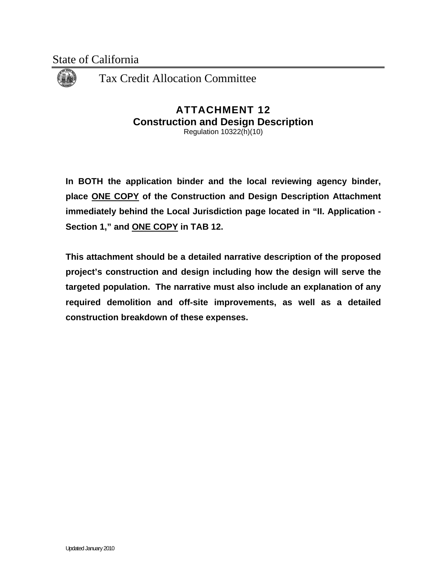

### **ATTACHMENT 12 Construction and Design Description**  Regulation 10322(h)(10)

**In BOTH the application binder and the local reviewing agency binder, place ONE COPY of the Construction and Design Description Attachment immediately behind the Local Jurisdiction page located in "II. Application - Section 1," and ONE COPY in TAB 12.** 

**This attachment should be a detailed narrative description of the proposed project's construction and design including how the design will serve the targeted population. The narrative must also include an explanation of any required demolition and off-site improvements, as well as a detailed construction breakdown of these expenses.**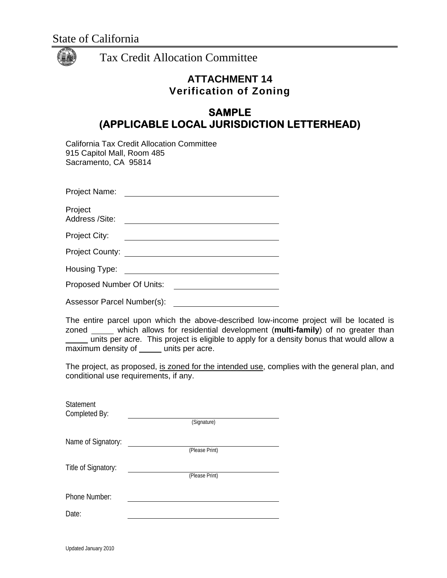

## **ATTACHMENT 14 Verification of Zoning**

# **SAMPLE (APPLICABLE LOCAL JURISDICTION LETTERHEAD)**

| California Tax Credit Allocation Committee |
|--------------------------------------------|
| 915 Capitol Mall, Room 485                 |
| Sacramento, CA 95814                       |

| Project Name:  |  |  |  |
|----------------|--|--|--|
|                |  |  |  |
| Project        |  |  |  |
| Address /Site: |  |  |  |

| Project City: |  |  |
|---------------|--|--|

| <b>Project County:</b> |
|------------------------|
|                        |
|                        |

| Housing Type: |  |
|---------------|--|
|---------------|--|

Proposed Number Of Units:

Assessor Parcel Number(s):

The entire parcel upon which the above-described low-income project will be located is zoned \_\_\_\_\_ which allows for residential development (multi-family) of no greater than units per acre. This project is eligible to apply for a density bonus that would allow a  $\overline{\text{maximum}}$  density of  $\underline{\hspace{1cm}}$  units per acre.

The project, as proposed, is zoned for the intended use, complies with the general plan, and conditional use requirements, if any.

| Statement<br>Completed By: | (Signature)    |
|----------------------------|----------------|
| Name of Signatory:         |                |
|                            | (Please Print) |
| Title of Signatory:        |                |
|                            | (Please Print) |
| Phone Number:              |                |
| Date:                      |                |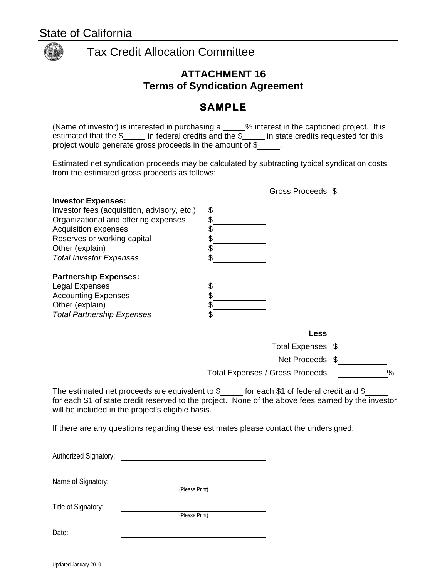

### **ATTACHMENT 16 Terms of Syndication Agreement**

# **SAMPLE**

(Name of investor) is interested in purchasing a  $\_\_\_\%$  interest in the captioned project. It is estimated that the  $\frac{1}{2}$  in federal credits and the  $\frac{1}{2}$  in state credits requested for this project would generate gross proceeds in the amount of \$

Estimated net syndication proceeds may be calculated by subtracting typical syndication costs from the estimated gross proceeds as follows:

| <b>Investor Expenses:</b>                   |                |  |
|---------------------------------------------|----------------|--|
| Investor fees (acquisition, advisory, etc.) | \$             |  |
| Organizational and offering expenses        |                |  |
| <b>Acquisition expenses</b>                 |                |  |
| Reserves or working capital                 |                |  |
| Other (explain)                             |                |  |
| <b>Total Investor Expenses</b>              |                |  |
| <b>Partnership Expenses:</b>                |                |  |
| Legal Expenses                              | \$             |  |
| <b>Accounting Expenses</b>                  |                |  |
| Other (explain)                             |                |  |
| <b>Total Partnership Expenses</b>           |                |  |
|                                             | Less           |  |
|                                             | Total Expenses |  |

 $\alpha$  Expenses  $\alpha$  \_\_\_\_\_\_\_\_\_\_\_

Gross Proceeds \$

Net Proceeds \$

Total Expenses / Gross Proceeds %

The estimated net proceeds are equivalent to  $\frac{1}{2}$  for each \$1 of federal credit and \$ for each \$1 of state credit reserved to the project. None of the above fees earned by the investor will be included in the project's eligible basis.

If there are any questions regarding these estimates please contact the undersigned.

| <b>Authorized Signatory:</b> |                |
|------------------------------|----------------|
| Name of Signatory:           | (Please Print) |
| Title of Signatory:          | (Please Print) |
| Date:                        |                |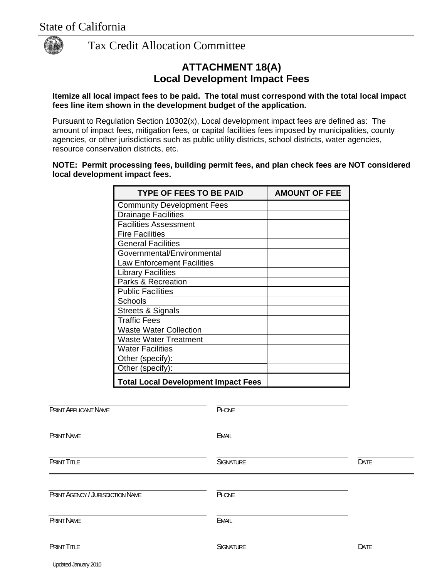

### **ATTACHMENT 18(A) Local Development Impact Fees**

#### **Itemize all local impact fees to be paid. The total must correspond with the total local impact fees line item shown in the development budget of the application.**

Pursuant to Regulation Section 10302(x), Local development impact fees are defined as: The amount of impact fees, mitigation fees, or capital facilities fees imposed by municipalities, county agencies, or other jurisdictions such as public utility districts, school districts, water agencies, resource conservation districts, etc.

#### **NOTE: Permit processing fees, building permit fees, and plan check fees are NOT considered local development impact fees.**

|                                  | <b>TYPE OF FEES TO BE PAID</b>             |                  | <b>AMOUNT OF FEE</b> |
|----------------------------------|--------------------------------------------|------------------|----------------------|
|                                  | <b>Community Development Fees</b>          |                  |                      |
|                                  | <b>Drainage Facilities</b>                 |                  |                      |
|                                  | <b>Facilities Assessment</b>               |                  |                      |
|                                  | <b>Fire Facilities</b>                     |                  |                      |
|                                  | <b>General Facilities</b>                  |                  |                      |
|                                  | Governmental/Environmental                 |                  |                      |
|                                  | <b>Law Enforcement Facilities</b>          |                  |                      |
|                                  | <b>Library Facilities</b>                  |                  |                      |
|                                  | Parks & Recreation                         |                  |                      |
|                                  | <b>Public Facilities</b>                   |                  |                      |
|                                  | Schools                                    |                  |                      |
|                                  | <b>Streets &amp; Signals</b>               |                  |                      |
|                                  | <b>Traffic Fees</b>                        |                  |                      |
|                                  | <b>Waste Water Collection</b>              |                  |                      |
|                                  | <b>Waste Water Treatment</b>               |                  |                      |
|                                  | <b>Water Facilities</b>                    |                  |                      |
|                                  | Other (specify):                           |                  |                      |
|                                  | Other (specify):                           |                  |                      |
|                                  | <b>Total Local Development Impact Fees</b> |                  |                      |
|                                  |                                            |                  |                      |
| PRINT APPLICANT NAME             |                                            | PHONE            |                      |
| <b>PRINT NAME</b>                |                                            | <b>EMAIL</b>     |                      |
| <b>PRINT TITLE</b>               |                                            | <b>SIGNATURE</b> |                      |
|                                  |                                            |                  |                      |
| PRINT AGENCY / JURISDICTION NAME |                                            | PHONE            |                      |
| <b>PRINT NAME</b>                |                                            | <b>EMAIL</b>     |                      |
| <b>PRINT TITLE</b>               |                                            | <b>SIGNATURE</b> |                      |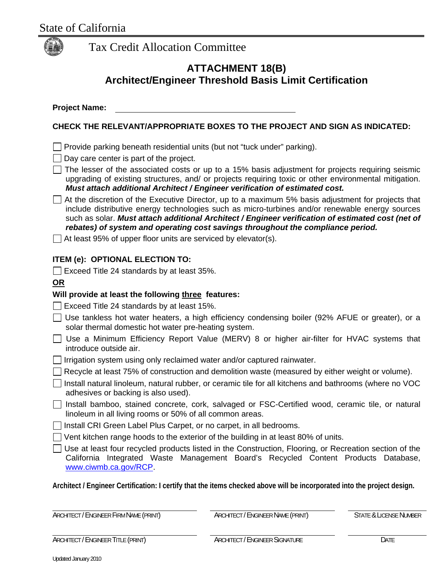

### **ATTACHMENT 18(B) Architect/Engineer Threshold Basis Limit Certification**

**Project Name:** 

### **CHECK THE RELEVANT/APPROPRIATE BOXES TO THE PROJECT AND SIGN AS INDICATED:**

 $\Box$  Provide parking beneath residential units (but not "tuck under" parking).

 $\Box$  Day care center is part of the project.

- $\Box$  The lesser of the associated costs or up to a 15% basis adjustment for projects requiring seismic upgrading of existing structures, and/ or projects requiring toxic or other environmental mitigation. *Must attach additional Architect / Engineer verification of estimated cost.*
- $\Box$  At the discretion of the Executive Director, up to a maximum 5% basis adjustment for projects that include distributive energy technologies such as micro-turbines and/or renewable energy sources such as solar. *Must attach additional Architect / Engineer verification of estimated cost (net of rebates) of system and operating cost savings throughout the compliance period.*
- $\Box$  At least 95% of upper floor units are serviced by elevator(s).

#### **ITEM (e): OPTIONAL ELECTION TO:**

 $\Box$  Exceed Title 24 standards by at least 35%.

#### **OR**

### **Will provide at least the following three features:**

- $\Box$  Exceed Title 24 standards by at least 15%.
- $\Box$  Use tankless hot water heaters, a high efficiency condensing boiler (92% AFUE or greater), or a solar thermal domestic hot water pre-heating system.
- Use a Minimum Efficiency Report Value (MERV) 8 or higher air-filter for HVAC systems that introduce outside air.
- $\Box$  Irrigation system using only reclaimed water and/or captured rainwater.
- $\Box$  Recycle at least 75% of construction and demolition waste (measured by either weight or volume).
- $\Box$  Install natural linoleum, natural rubber, or ceramic tile for all kitchens and bathrooms (where no VOC adhesives or backing is also used).
- Install bamboo, stained concrete, cork, salvaged or FSC-Certified wood, ceramic tile, or natural linoleum in all living rooms or 50% of all common areas.
- $\Box$  Install CRI Green Label Plus Carpet, or no carpet, in all bedrooms.
- $\Box$  Vent kitchen range hoods to the exterior of the building in at least 80% of units.
- $\Box$  Use at least four recycled products listed in the Construction, Flooring, or Recreation section of the California Integrated Waste Management Board's Recycled Content Products Database, [www.ciwmb.ca.gov/RCP.](http://www.ciwmb.ca.gov/RCP)

**Architect / Engineer Certification: I certify that the items checked above will be incorporated into the project design.** 

ARCHITECT / ENGINEER FIRM NAME (PRINT) ARCHITECT / ENGINEER NAME (PRINT) STATE & LICENSE NUMBER

ARCHITECT / ENGINEER TITLE (PRINT) ARCHITECT / ENGINEER SIGNATURE **ARCHITECT** / ENGINEER SIGNATURE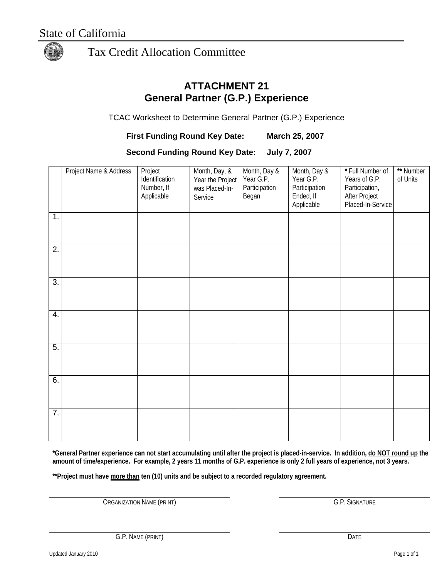

## **ATTACHMENT 21 General Partner (G.P.) Experience**

TCAC Worksheet to Determine General Partner (G.P.) Experience

**First Funding Round Key Date: March 25, 2007** 

**Second Funding Round Key Date: July 7, 2007** 

|                  | Project Name & Address | Project<br>Identification<br>Number, If<br>Applicable | Month, Day, &<br>Year the Project<br>was Placed-In-<br>Service | Month, Day &<br>Year G.P.<br>Participation<br>Began | Month, Day &<br>Year G.P.<br>Participation<br>Ended, If<br>Applicable | * Full Number of<br>Years of G.P.<br>Participation,<br>After Project<br>Placed-In-Service | ** Number<br>of Units |
|------------------|------------------------|-------------------------------------------------------|----------------------------------------------------------------|-----------------------------------------------------|-----------------------------------------------------------------------|-------------------------------------------------------------------------------------------|-----------------------|
| 1.               |                        |                                                       |                                                                |                                                     |                                                                       |                                                                                           |                       |
| $\overline{2}$ . |                        |                                                       |                                                                |                                                     |                                                                       |                                                                                           |                       |
| $\overline{3}$ . |                        |                                                       |                                                                |                                                     |                                                                       |                                                                                           |                       |
| 4.               |                        |                                                       |                                                                |                                                     |                                                                       |                                                                                           |                       |
| 5.               |                        |                                                       |                                                                |                                                     |                                                                       |                                                                                           |                       |
| 6.               |                        |                                                       |                                                                |                                                     |                                                                       |                                                                                           |                       |
| $\overline{7}$ . |                        |                                                       |                                                                |                                                     |                                                                       |                                                                                           |                       |

**\*General Partner experience can not start accumulating until after the project is placed-in-service. In addition, do NOT round up the amount of time/experience. For example, 2 years 11 months of G.P. experience is only 2 full years of experience, not 3 years.** 

\*\*Project must have more than ten (10) units and be subject to a recorded regulatory agreement.

ORGANIZATION NAME (PRINT) G.P. SIGNATURE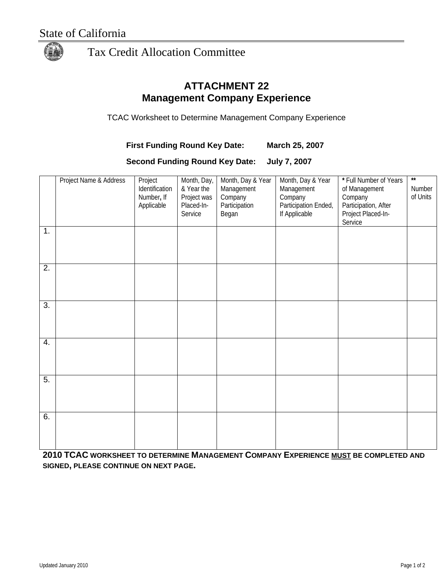

### **ATTACHMENT 22 Management Company Experience**

TCAC Worksheet to Determine Management Company Experience

### **First Funding Round Key Date: March 25, 2007**

**Second Funding Round Key Date: July 7, 2007** 

|                  | Project Name & Address | Project<br>Identification<br>Number, If<br>Applicable | Month, Day,<br>& Year the<br>Project was<br>Placed-In-<br>Service | Month, Day & Year<br>Management<br>Company<br>Participation<br>Began | Month, Day & Year<br>Management<br>Company<br>Participation Ended,<br>If Applicable | * Full Number of Years<br>of Management<br>Company<br>Participation, After<br>Project Placed-In-<br>Service | $\star\star$<br>Number<br>of Units |
|------------------|------------------------|-------------------------------------------------------|-------------------------------------------------------------------|----------------------------------------------------------------------|-------------------------------------------------------------------------------------|-------------------------------------------------------------------------------------------------------------|------------------------------------|
| 1.               |                        |                                                       |                                                                   |                                                                      |                                                                                     |                                                                                                             |                                    |
| $\overline{2}$ . |                        |                                                       |                                                                   |                                                                      |                                                                                     |                                                                                                             |                                    |
| $\overline{3}$ . |                        |                                                       |                                                                   |                                                                      |                                                                                     |                                                                                                             |                                    |
| 4.               |                        |                                                       |                                                                   |                                                                      |                                                                                     |                                                                                                             |                                    |
| 5.               |                        |                                                       |                                                                   |                                                                      |                                                                                     |                                                                                                             |                                    |
| 6.               |                        |                                                       |                                                                   |                                                                      |                                                                                     |                                                                                                             |                                    |

**2010 TCAC WORKSHEET TO DETERMINE MANAGEMENT COMPANY EXPERIENCE MUST BE COMPLETED AND SIGNED, PLEASE CONTINUE ON NEXT PAGE.**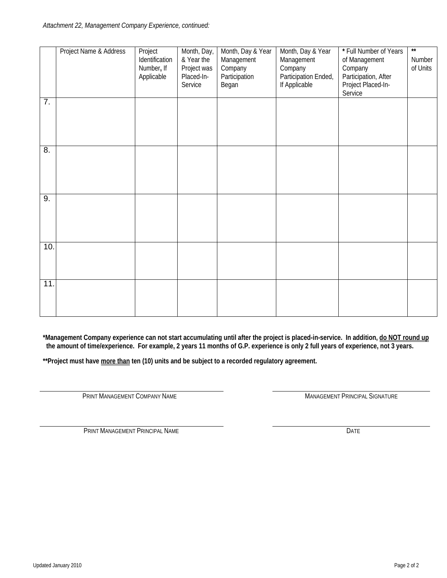|                  | Project Name & Address | Project<br>Identification<br>Number, If<br>Applicable | Month, Day,<br>& Year the<br>Project was<br>Placed-In-<br>Service | Month, Day & Year<br>Management<br>Company<br>Participation<br>Began | Month, Day & Year<br>Management<br>Company<br>Participation Ended,<br>If Applicable | * Full Number of Years<br>of Management<br>Company<br>Participation, After<br>Project Placed-In-<br>Service | $**$<br>Number<br>of Units |
|------------------|------------------------|-------------------------------------------------------|-------------------------------------------------------------------|----------------------------------------------------------------------|-------------------------------------------------------------------------------------|-------------------------------------------------------------------------------------------------------------|----------------------------|
| $\overline{7}$ . |                        |                                                       |                                                                   |                                                                      |                                                                                     |                                                                                                             |                            |
| $\overline{8}$ . |                        |                                                       |                                                                   |                                                                      |                                                                                     |                                                                                                             |                            |
| 9.               |                        |                                                       |                                                                   |                                                                      |                                                                                     |                                                                                                             |                            |
| 10.              |                        |                                                       |                                                                   |                                                                      |                                                                                     |                                                                                                             |                            |
| 11.              |                        |                                                       |                                                                   |                                                                      |                                                                                     |                                                                                                             |                            |

**\*Management Company experience can not start accumulating until after the project is placed-in-service. In addition, do NOT round up the amount of time/experience. For example, 2 years 11 months of G.P. experience is only 2 full years of experience, not 3 years.** 

\*\*Project must have **more than** ten (10) units and be subject to a recorded regulatory agreement.

PRINT MANAGEMENT COMPANY NAME **MANAGEMENT PRINCIPAL SIGNATURE** 

**PRINT MANAGEMENT PRINCIPAL NAME** DATE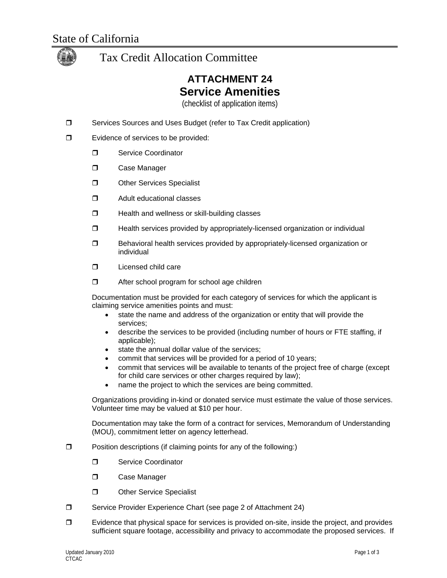

# **ATTACHMENT 24 Service Amenities**

(checklist of application items)

- □ Services Sources and Uses Budget (refer to Tax Credit application)
- **E**vidence of services to be provided:
	- **D** Service Coordinator
	- D Case Manager
	- **D** Other Services Specialist
	- **D** Adult educational classes
	- $\Box$  Health and wellness or skill-building classes
	- $\Box$  Health services provided by appropriately-licensed organization or individual
	- □ Behavioral health services provided by appropriately-licensed organization or individual
	- D Licensed child care
	- $\Box$  After school program for school age children

Documentation must be provided for each category of services for which the applicant is claiming service amenities points and must:

- state the name and address of the organization or entity that will provide the services;
- describe the services to be provided (including number of hours or FTE staffing, if applicable);
- state the annual dollar value of the services;
- commit that services will be provided for a period of 10 years;
- commit that services will be available to tenants of the project free of charge (except for child care services or other charges required by law);
- name the project to which the services are being committed.

Organizations providing in-kind or donated service must estimate the value of those services. Volunteer time may be valued at \$10 per hour.

Documentation may take the form of a contract for services, Memorandum of Understanding (MOU), commitment letter on agency letterhead.

- $\Box$  Position descriptions (if claiming points for any of the following:)
	- **D** Service Coordinator
	- D Case Manager
	- Other Service Specialist
- □ Service Provider Experience Chart (see page 2 of Attachment 24)
- $\Box$  Evidence that physical space for services is provided on-site, inside the project, and provides sufficient square footage, accessibility and privacy to accommodate the proposed services. If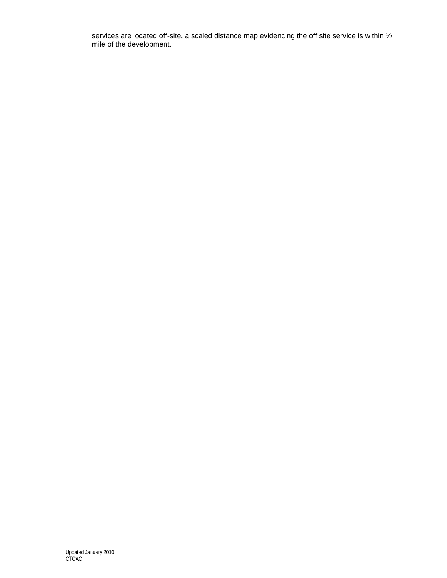services are located off-site, a scaled distance map evidencing the off site service is within  $\frac{1}{2}$ mile of the development.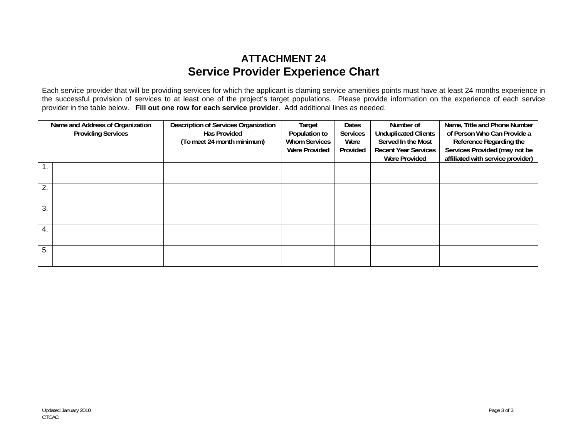## **ATTACHMENT 24 Service Provider Experience Chart**

Each service provider that will be providing services for which the applicant is claming service amenities points must have at least 24 months experience in the successful provision of services to at least one of the project's target populations. Please provide information on the experience of each service provider in the table below. **Fill out one row for each service provider**. Add additional lines as needed.

| Name and Address of Organization<br><b>Providing Services</b> |  | <b>Description of Services Organization</b><br><b>Has Provided</b><br>(To meet 24 month minimum) | Target<br>Population to<br><b>Whom Services</b><br><b>Were Provided</b> | Dates<br><b>Services</b><br>Were<br>Provided | Number of<br><b>Unduplicated Clients</b><br>Served In the Most<br><b>Recent Year Services</b><br><b>Were Provided</b> | Name, Title and Phone Number<br>of Person Who Can Provide a<br>Reference Regarding the<br>Services Provided (may not be<br>affiliated with service provider) |
|---------------------------------------------------------------|--|--------------------------------------------------------------------------------------------------|-------------------------------------------------------------------------|----------------------------------------------|-----------------------------------------------------------------------------------------------------------------------|--------------------------------------------------------------------------------------------------------------------------------------------------------------|
|                                                               |  |                                                                                                  |                                                                         |                                              |                                                                                                                       |                                                                                                                                                              |
| 2.                                                            |  |                                                                                                  |                                                                         |                                              |                                                                                                                       |                                                                                                                                                              |
| 3.                                                            |  |                                                                                                  |                                                                         |                                              |                                                                                                                       |                                                                                                                                                              |
| 4.                                                            |  |                                                                                                  |                                                                         |                                              |                                                                                                                       |                                                                                                                                                              |
| 5.                                                            |  |                                                                                                  |                                                                         |                                              |                                                                                                                       |                                                                                                                                                              |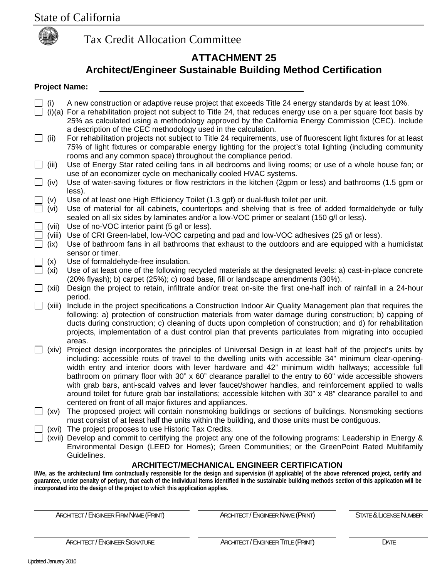

## **ATTACHMENT 25 Architect/Engineer Sustainable Building Method Certification**

#### **Project Name:**

- (i) A new construction or adaptive reuse project that exceeds Title 24 energy standards by at least 10%.
- (i)(a) For a rehabilitation project not subject to Title 24, that reduces energy use on a per square foot basis by 25% as calculated using a methodology approved by the California Energy Commission (CEC). Include a description of the CEC methodology used in the calculation.
- $\Box$  (ii) For rehabilitation projects not subject to Title 24 requirements, use of fluorescent light fixtures for at least 75% of light fixtures or comparable energy lighting for the project's total lighting (including community rooms and any common space) throughout the compliance period.
- (iii) Use of Energy Star rated ceiling fans in all bedrooms and living rooms; or use of a whole house fan; or use of an economizer cycle on mechanically cooled HVAC systems.
- $\Box$  (iv) Use of water-saving fixtures or flow restrictors in the kitchen (2gpm or less) and bathrooms (1.5 gpm or less).
- (v) Use of at least one High Efficiency Toilet (1.3 gpf) or dual-flush toilet per unit.
- (vi) Use of material for all cabinets, countertops and shelving that is free of added formaldehyde or fully sealed on all six sides by laminates and/or a low-VOC primer or sealant (150 g/l or less).
- (vii) Use of no-VOC interior paint (5 g/l or less).
- (viii) Use of CRI Green-label, low-VOC carpeting and pad and low-VOC adhesives (25 g/l or less).
- (ix) Use of bathroom fans in all bathrooms that exhaust to the outdoors and are equipped with a humidistat sensor or timer.
- (x) Use of formaldehyde-free insulation.
- (xi) Use of at least one of the following recycled materials at the designated levels: a) cast-in-place concrete (20% flyash); b) carpet (25%); c) road base, fill or landscape amendments (30%).
- $\Box$  (xii) Design the project to retain, infiltrate and/or treat on-site the first one-half inch of rainfall in a 24-hour period.
- $\Box$  (xiii) Include in the project specifications a Construction Indoor Air Quality Management plan that requires the following: a) protection of construction materials from water damage during construction; b) capping of ducts during construction; c) cleaning of ducts upon completion of construction; and d) for rehabilitation projects, implementation of a dust control plan that prevents particulates from migrating into occupied areas.
- $\Box$  (xiv) Project design incorporates the principles of Universal Design in at least half of the project's units by including: accessible routs of travel to the dwelling units with accessible 34" minimum clear-openingwidth entry and interior doors with lever hardware and 42" minimum width hallways; accessible full bathroom on primary floor with 30" x 60" clearance parallel to the entry to 60" wide accessible showers with grab bars, anti-scald valves and lever faucet/shower handles, and reinforcement applied to walls around toilet for future grab bar installations; accessible kitchen with 30" x 48" clearance parallel to and centered on front of all major fixtures and appliances.
- $\Box$  (xv) The proposed project will contain nonsmoking buildings or sections of buildings. Nonsmoking sections must consist of at least half the units within the building, and those units must be contiguous.
	- (xvi) The project proposes to use Historic Tax Credits.
	- (xvii) Develop and commit to certifying the project any one of the following programs: Leadership in Energy & Environmental Design (LEED for Homes); Green Communities; or the GreenPoint Rated Multifamily Guidelines.

#### **ARCHITECT/MECHANICAL ENGINEER CERTIFICATION**

**I/We, as the architectural firm contractually responsible for the design and supervision (if applicable) of the above referenced project, certify and guarantee, under penalty of perjury, that each of the individual items identified in the sustainable building methods section of this application will be incorporated into the design of the project to which this application applies.** 

ARCHITECT / ENGINEER FIRM NAME (PRINT) ARCHITECT / ENGINEER NAME (PRINT) STATE & LICENSE NUMBER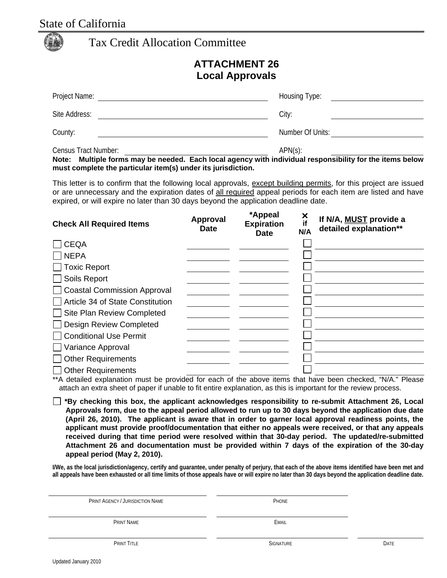## State of California

| <b>Tax Credit Allocation Committee</b> |  |
|----------------------------------------|--|
|----------------------------------------|--|

### **ATTACHMENT 26 Local Approvals**

| Project Name:        | Housing Type:    |
|----------------------|------------------|
| Site Address:        | City:            |
| County:              | Number Of Units: |
| Census Tract Number: | $APN(s)$ :       |

**Note: Multiple forms may be needed. Each local agency with individual responsibility for the items below must complete the particular item(s) under its jurisdiction.** 

This letter is to confirm that the following local approvals, except building permits, for this project are issued or are unnecessary and the expiration dates of all required appeal periods for each item are listed and have expired, or will expire no later than 30 days beyond the application deadline date.

| <b>Check All Required Items</b>                                                                                | Approval<br><b>Date</b> | *Appeal<br><b>Expiration</b><br><b>Date</b> | ×<br>if<br>N/A | If N/A, MUST provide a<br>detailed explanation** |
|----------------------------------------------------------------------------------------------------------------|-------------------------|---------------------------------------------|----------------|--------------------------------------------------|
| <b>CEQA</b>                                                                                                    |                         |                                             |                |                                                  |
| <b>NEPA</b>                                                                                                    |                         |                                             |                |                                                  |
| <b>Toxic Report</b>                                                                                            |                         |                                             |                |                                                  |
| Soils Report                                                                                                   |                         |                                             |                |                                                  |
| <b>Coastal Commission Approval</b>                                                                             |                         |                                             |                |                                                  |
| Article 34 of State Constitution                                                                               |                         |                                             |                |                                                  |
| Site Plan Review Completed                                                                                     |                         |                                             |                |                                                  |
| <b>Design Review Completed</b>                                                                                 |                         |                                             |                |                                                  |
| <b>Conditional Use Permit</b>                                                                                  |                         |                                             |                |                                                  |
| Variance Approval                                                                                              |                         |                                             |                |                                                  |
| <b>Other Requirements</b>                                                                                      |                         |                                             |                |                                                  |
| <b>Other Requirements</b>                                                                                      |                         |                                             |                |                                                  |
| *** detailed curlopedian peust ha pusuided for each of the obeys items that house heap shealced "NI/A". Dlease |                         |                                             |                |                                                  |

A detailed explanation must be provided for each of the above items that have been checked, "N/A." Please attach an extra sheet of paper if unable to fit entire explanation, as this is important for the review process.

**\*By checking this box, the applicant acknowledges responsibility to re-submit Attachment 26, Local Approvals form, due to the appeal period allowed to run up to 30 days beyond the application due date (April 26, 2010). The applicant is aware that in order to garner local approval readiness points, the applicant must provide proof/documentation that either no appeals were received, or that any appeals received during that time period were resolved within that 30-day period. The updated/re-submitted Attachment 26 and documentation must be provided within 7 days of the expiration of the 30-day appeal period (May 2, 2010).**

**I/We, as the local jurisdiction/agency, certify and guarantee, under penalty of perjury, that each of the above items identified have been met and all appeals have been exhausted or all time limits of those appeals have or will expire no later than 30 days beyond the application deadline date.** 

| PRINT AGENCY / JURISDICTION NAME | PHONE            |      |
|----------------------------------|------------------|------|
|                                  |                  |      |
| PRINT NAME                       | EMAIL            |      |
|                                  |                  |      |
| PRINT TITLE                      | <b>SIGNATURE</b> | DATE |